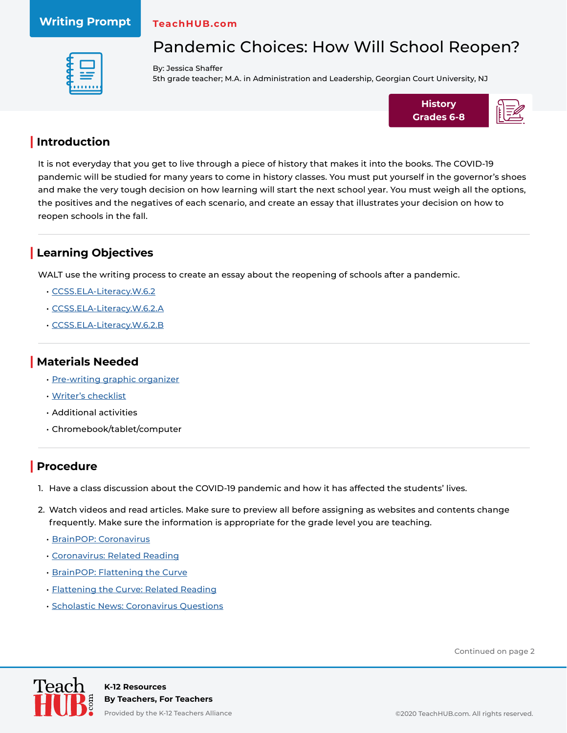#### **Writing Prompt**

#### **TeachHUB.com**



# Pandemic Choices: How Will School Reopen?

By: Jessica Shaffer 5th grade teacher; M.A. in Administration and Leadership, Georgian Court University, NJ



## **| Introduction**

It is not everyday that you get to live through a piece of history that makes it into the books. The COVID-19 pandemic will be studied for many years to come in history classes. You must put yourself in the governor's shoes and make the very tough decision on how learning will start the next school year. You must weigh all the options, the positives and the negatives of each scenario, and create an essay that illustrates your decision on how to reopen schools in the fall.

# **| Learning Objectives**

WALT use the writing process to create an essay about the reopening of schools after a pandemic.

- [CCSS.ELA-Literacy.W.6.2](http://www.corestandards.org/ELA-Literacy/W/6/2/)
- [CCSS.ELA-Literacy.W.6.2.A](http://www.corestandards.org/ELA-Literacy/W/6/2/a/)
- [CCSS.ELA-Literacy.W.6.2.B](http://www.corestandards.org/ELA-Literacy/W/6/2/b/)

## **| Materials Needed**

- [Pre-writing graphic organizer](https://www.teachhub.com/wp-content/uploads/2020/08/TeachHUB_WP_Pandemic-Choices-How-Will-School-Reopen_Materials.pdf)
- [Writer's checklist](https://www.teachhub.com/wp-content/uploads/2020/08/TeachHUB_WP_Pandemic-Choices-How-Will-School-Reopen_Materials.pdf)
- Additional activities
- Chromebook/tablet/computer

# **| Procedure**

- 1. Have a class discussion about the COVID-19 pandemic and how it has affected the students' lives.
- 2. Watch videos and read articles. Make sure to preview all before assigning as websites and contents change frequently. Make sure the information is appropriate for the grade level you are teaching.
	- [BrainPOP: Coronavirus](https://www.brainpop.com/health/diseasesinjuriesandconditions/coronavirus/)
	- [Coronavirus: Related Reading](https://www.brainpop.com/health/diseasesinjuriesandconditions/coronavirus/relatedreading/)
	- [BrainPOP: Flattening the Curve](https://www.brainpop.com/socialstudies/news/flatteningthecurve/)
	- [Flattening the Curve: Related Reading](https://www.brainpop.com/socialstudies/news/flatteningthecurve/relatedreading/)
	- [Scholastic News: Coronavirus Questions](https://sn56.scholastic.com/issues/2019-20/031620/coronavirus.html#On%20Level)

Continued on page 2

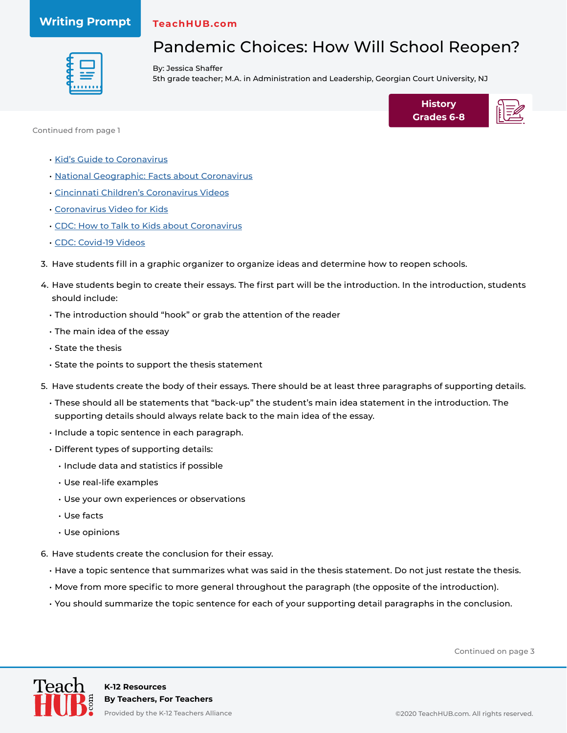### **Writing Prompt**

#### **TeachHUB.com**



Pandemic Choices: How Will School Reopen?

By: Jessica Shaffer 5th grade teacher; M.A. in Administration and Leadership, Georgian Court University, NJ



Continued from page 1

- [Kid's Guide to Coronavirus](https://www.livescience.com/coronavirus-kids-guide.html)
- [National Geographic: Facts about Coronavirus](https://kids.nationalgeographic.com/explore/science/facts-about-coronavirus/)
- [Cincinnati Children's Coronavirus Videos](https://www.cincinnatichildrens.org/patients/coronavirus-information/videos-for-kids-parents)
- [Coronavirus Video for Kids](https://www.youtube.com/watch?v=MVvVTDhGqaA&vl=en)
- [CDC: How to Talk to Kids about Coronavirus](https://www.cdc.gov/coronavirus/2019-ncov/daily-life-coping/talking-with-children.html)
- [CDC: Covid-19 Videos](https://www.cdc.gov/coronavirus/2019-ncov/communication/videos.html?Sort=Date%3A%3Adesc)
- 3. Have students fill in a graphic organizer to organize ideas and determine how to reopen schools.
- 4. Have students begin to create their essays. The first part will be the introduction. In the introduction, students should include:
	- The introduction should "hook" or grab the attention of the reader
	- The main idea of the essay
	- State the thesis
	- State the points to support the thesis statement
- 5. Have students create the body of their essays. There should be at least three paragraphs of supporting details.
	- These should all be statements that "back-up" the student's main idea statement in the introduction. The supporting details should always relate back to the main idea of the essay.
	- Include a topic sentence in each paragraph.
	- Different types of supporting details:
		- Include data and statistics if possible
		- Use real-life examples
		- Use your own experiences or observations
		- Use facts
		- Use opinions
- 6. Have students create the conclusion for their essay.
	- Have a topic sentence that summarizes what was said in the thesis statement. Do not just restate the thesis.
	- Move from more specific to more general throughout the paragraph (the opposite of the introduction).
	- You should summarize the topic sentence for each of your supporting detail paragraphs in the conclusion.

Continued on page 3